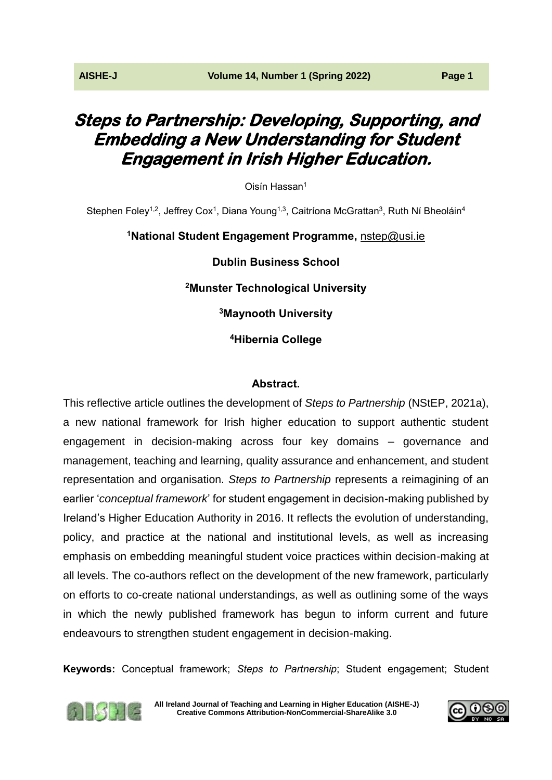# **Steps to Partnership: Developing, Supporting, and Embedding a New Understanding for Student Engagement in Irish Higher Education.**

Oisín Hassan<sup>1</sup>

Stephen Foley<sup>1,2</sup>, Jeffrey Cox<sup>1</sup>, Diana Young<sup>1,3</sup>, Caitríona McGrattan<sup>3</sup>, Ruth Ní Bheoláin<sup>4</sup>

# **<sup>1</sup>National Student Engagement Programme,** [nstep@usi.ie](mailto:nstep@usi.ie) **Dublin Business School <sup>2</sup>Munster Technological University <sup>3</sup>Maynooth University <sup>4</sup>Hibernia College**

## **Abstract.**

This reflective article outlines the development of *Steps to Partnership* (NStEP, 2021a), a new national framework for Irish higher education to support authentic student engagement in decision-making across four key domains – governance and management, teaching and learning, quality assurance and enhancement, and student representation and organisation. *Steps to Partnership* represents a reimagining of an earlier '*conceptual framework*' for student engagement in decision-making published by Ireland's Higher Education Authority in 2016. It reflects the evolution of understanding, policy, and practice at the national and institutional levels, as well as increasing emphasis on embedding meaningful student voice practices within decision-making at all levels. The co-authors reflect on the development of the new framework, particularly on efforts to co-create national understandings, as well as outlining some of the ways in which the newly published framework has begun to inform current and future endeavours to strengthen student engagement in decision-making.

**Keywords:** Conceptual framework; *Steps to Partnership*; Student engagement; Student



**[All Ireland Journal of Teaching and Learning in Higher Education \(AISHE-J\)](http://ojs.aishe.org/index.php/aishe-j) [Creative Commons Attribution-NonCommercial-ShareAlike 3.0](http://creativecommons.org/licenses/by-nc-sa/3.0/)**

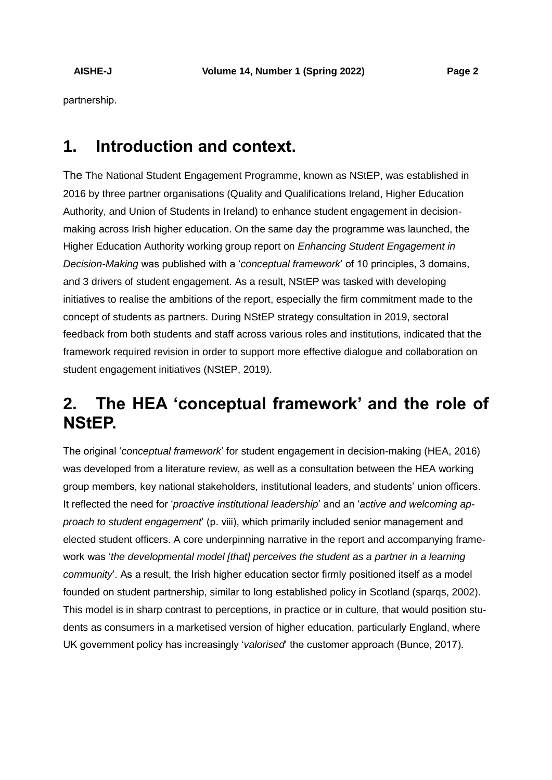partnership.

# **1. Introduction and context.**

The The National Student Engagement Programme, known as NStEP, was established in 2016 by three partner organisations (Quality and Qualifications Ireland, Higher Education Authority, and Union of Students in Ireland) to enhance student engagement in decisionmaking across Irish higher education. On the same day the programme was launched, the Higher Education Authority working group report on *Enhancing Student Engagement in Decision-Making* was published with a '*conceptual framework*' of 10 principles, 3 domains, and 3 drivers of student engagement. As a result, NStEP was tasked with developing initiatives to realise the ambitions of the report, especially the firm commitment made to the concept of students as partners. During NStEP strategy consultation in 2019, sectoral feedback from both students and staff across various roles and institutions, indicated that the framework required revision in order to support more effective dialogue and collaboration on student engagement initiatives (NStEP, 2019).

# **2. The HEA 'conceptual framework' and the role of NStEP.**

The original '*conceptual framework*' for student engagement in decision-making (HEA, 2016) was developed from a literature review, as well as a consultation between the HEA working group members, key national stakeholders, institutional leaders, and students' union officers. It reflected the need for '*proactive institutional leadership*' and an '*active and welcoming approach to student engagement*' (p. viii), which primarily included senior management and elected student officers. A core underpinning narrative in the report and accompanying framework was '*the developmental model [that] perceives the student as a partner in a learning community*'. As a result, the Irish higher education sector firmly positioned itself as a model founded on student partnership, similar to long established policy in Scotland (sparqs, 2002). This model is in sharp contrast to perceptions, in practice or in culture, that would position students as consumers in a marketised version of higher education, particularly England, where UK government policy has increasingly '*valorised*' the customer approach (Bunce, 2017).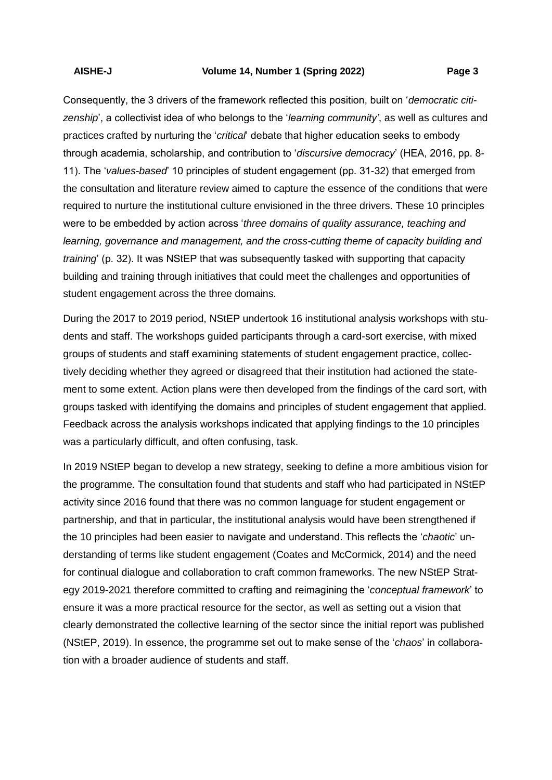Consequently, the 3 drivers of the framework reflected this position, built on '*democratic citizenship*', a collectivist idea of who belongs to the '*learning community'*, as well as cultures and practices crafted by nurturing the '*critical*' debate that higher education seeks to embody through academia, scholarship, and contribution to '*discursive democracy*' (HEA, 2016, pp. 8- 11). The '*values-based*' 10 principles of student engagement (pp. 31-32) that emerged from the consultation and literature review aimed to capture the essence of the conditions that were required to nurture the institutional culture envisioned in the three drivers. These 10 principles were to be embedded by action across '*three domains of quality assurance, teaching and learning, governance and management, and the cross-cutting theme of capacity building and training*' (p. 32). It was NStEP that was subsequently tasked with supporting that capacity building and training through initiatives that could meet the challenges and opportunities of student engagement across the three domains.

During the 2017 to 2019 period, NStEP undertook 16 institutional analysis workshops with students and staff. The workshops guided participants through a card-sort exercise, with mixed groups of students and staff examining statements of student engagement practice, collectively deciding whether they agreed or disagreed that their institution had actioned the statement to some extent. Action plans were then developed from the findings of the card sort, with groups tasked with identifying the domains and principles of student engagement that applied. Feedback across the analysis workshops indicated that applying findings to the 10 principles was a particularly difficult, and often confusing, task.

In 2019 NStEP began to develop a new strategy, seeking to define a more ambitious vision for the programme. The consultation found that students and staff who had participated in NStEP activity since 2016 found that there was no common language for student engagement or partnership, and that in particular, the institutional analysis would have been strengthened if the 10 principles had been easier to navigate and understand. This reflects the '*chaotic*' understanding of terms like student engagement (Coates and McCormick, 2014) and the need for continual dialogue and collaboration to craft common frameworks. The new NStEP Strategy 2019-2021 therefore committed to crafting and reimagining the '*conceptual framework*' to ensure it was a more practical resource for the sector, as well as setting out a vision that clearly demonstrated the collective learning of the sector since the initial report was published (NStEP, 2019). In essence, the programme set out to make sense of the '*chaos*' in collaboration with a broader audience of students and staff.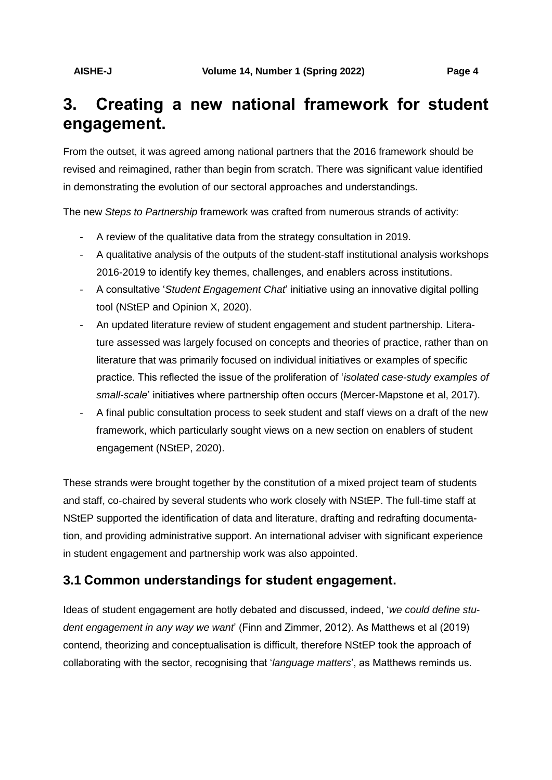# **3. Creating a new national framework for student engagement.**

From the outset, it was agreed among national partners that the 2016 framework should be revised and reimagined, rather than begin from scratch. There was significant value identified in demonstrating the evolution of our sectoral approaches and understandings.

The new *Steps to Partnership* framework was crafted from numerous strands of activity:

- A review of the qualitative data from the strategy consultation in 2019.
- A qualitative analysis of the outputs of the student-staff institutional analysis workshops 2016-2019 to identify key themes, challenges, and enablers across institutions.
- A consultative '*Student Engagement Chat*' initiative using an innovative digital polling tool (NStEP and Opinion X, 2020).
- An updated literature review of student engagement and student partnership. Literature assessed was largely focused on concepts and theories of practice, rather than on literature that was primarily focused on individual initiatives or examples of specific practice. This reflected the issue of the proliferation of '*isolated case-study examples of small-scale*' initiatives where partnership often occurs (Mercer-Mapstone et al, 2017).
- A final public consultation process to seek student and staff views on a draft of the new framework, which particularly sought views on a new section on enablers of student engagement (NStEP, 2020).

These strands were brought together by the constitution of a mixed project team of students and staff, co-chaired by several students who work closely with NStEP. The full-time staff at NStEP supported the identification of data and literature, drafting and redrafting documentation, and providing administrative support. An international adviser with significant experience in student engagement and partnership work was also appointed.

## **3.1 Common understandings for student engagement.**

Ideas of student engagement are hotly debated and discussed, indeed, '*we could define student engagement in any way we want*' (Finn and Zimmer, 2012). As Matthews et al (2019) contend, theorizing and conceptualisation is difficult, therefore NStEP took the approach of collaborating with the sector, recognising that '*language matters*', as Matthews reminds us.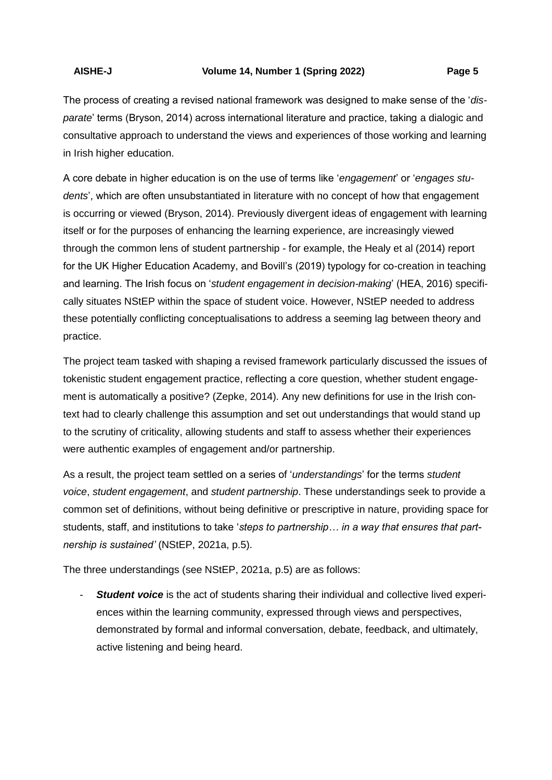The process of creating a revised national framework was designed to make sense of the '*disparate*' terms (Bryson, 2014) across international literature and practice, taking a dialogic and consultative approach to understand the views and experiences of those working and learning in Irish higher education.

A core debate in higher education is on the use of terms like '*engagement*' or '*engages students*', which are often unsubstantiated in literature with no concept of how that engagement is occurring or viewed (Bryson, 2014). Previously divergent ideas of engagement with learning itself or for the purposes of enhancing the learning experience, are increasingly viewed through the common lens of student partnership - for example, the Healy et al (2014) report for the UK Higher Education Academy, and Bovill's (2019) typology for co-creation in teaching and learning. The Irish focus on '*student engagement in decision-making*' (HEA, 2016) specifically situates NStEP within the space of student voice. However, NStEP needed to address these potentially conflicting conceptualisations to address a seeming lag between theory and practice.

The project team tasked with shaping a revised framework particularly discussed the issues of tokenistic student engagement practice, reflecting a core question, whether student engagement is automatically a positive? (Zepke, 2014). Any new definitions for use in the Irish context had to clearly challenge this assumption and set out understandings that would stand up to the scrutiny of criticality, allowing students and staff to assess whether their experiences were authentic examples of engagement and/or partnership.

As a result, the project team settled on a series of '*understandings*' for the terms *student voice*, *student engagement*, and *student partnership*. These understandings seek to provide a common set of definitions, without being definitive or prescriptive in nature, providing space for students, staff, and institutions to take '*steps to partnership… in a way that ensures that partnership is sustained'* (NStEP, 2021a, p.5).

The three understandings (see NStEP, 2021a, p.5) are as follows:

**Student voice** is the act of students sharing their individual and collective lived experiences within the learning community, expressed through views and perspectives, demonstrated by formal and informal conversation, debate, feedback, and ultimately, active listening and being heard.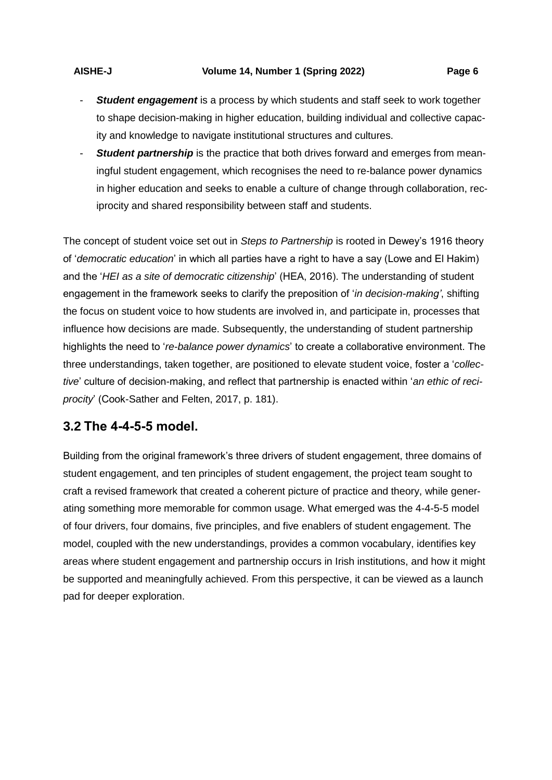**Student partnership** is the practice that both drives forward and emerges from meaningful student engagement, which recognises the need to re-balance power dynamics in higher education and seeks to enable a culture of change through collaboration, reciprocity and shared responsibility between staff and students.

The concept of student voice set out in *Steps to Partnership* is rooted in Dewey's 1916 theory of '*democratic education*' in which all parties have a right to have a say (Lowe and El Hakim) and the '*HEI as a site of democratic citizenship*' (HEA, 2016). The understanding of student engagement in the framework seeks to clarify the preposition of '*in decision-making'*, shifting the focus on student voice to how students are involved in, and participate in, processes that influence how decisions are made. Subsequently, the understanding of student partnership highlights the need to '*re-balance power dynamics*' to create a collaborative environment. The three understandings, taken together, are positioned to elevate student voice, foster a '*collective*' culture of decision-making, and reflect that partnership is enacted within '*an ethic of reciprocity*' (Cook-Sather and Felten, 2017, p. 181).

## **3.2 The 4-4-5-5 model.**

Building from the original framework's three drivers of student engagement, three domains of student engagement, and ten principles of student engagement, the project team sought to craft a revised framework that created a coherent picture of practice and theory, while generating something more memorable for common usage. What emerged was the 4-4-5-5 model of four drivers, four domains, five principles, and five enablers of student engagement. The model, coupled with the new understandings, provides a common vocabulary, identifies key areas where student engagement and partnership occurs in Irish institutions, and how it might be supported and meaningfully achieved. From this perspective, it can be viewed as a launch pad for deeper exploration.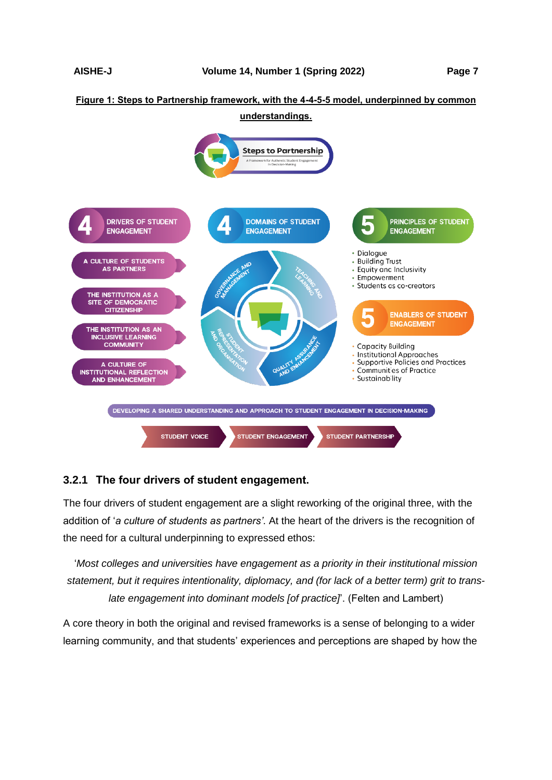## **Figure 1: Steps to Partnership framework, with the 4-4-5-5 model, underpinned by common**



## **3.2.1 The four drivers of student engagement.**

The four drivers of student engagement are a slight reworking of the original three, with the addition of '*a culture of students as partners'*. At the heart of the drivers is the recognition of the need for a cultural underpinning to expressed ethos:

'*Most colleges and universities have engagement as a priority in their institutional mission statement, but it requires intentionality, diplomacy, and (for lack of a better term) grit to translate engagement into dominant models [of practice]*'. (Felten and Lambert)

A core theory in both the original and revised frameworks is a sense of belonging to a wider learning community, and that students' experiences and perceptions are shaped by how the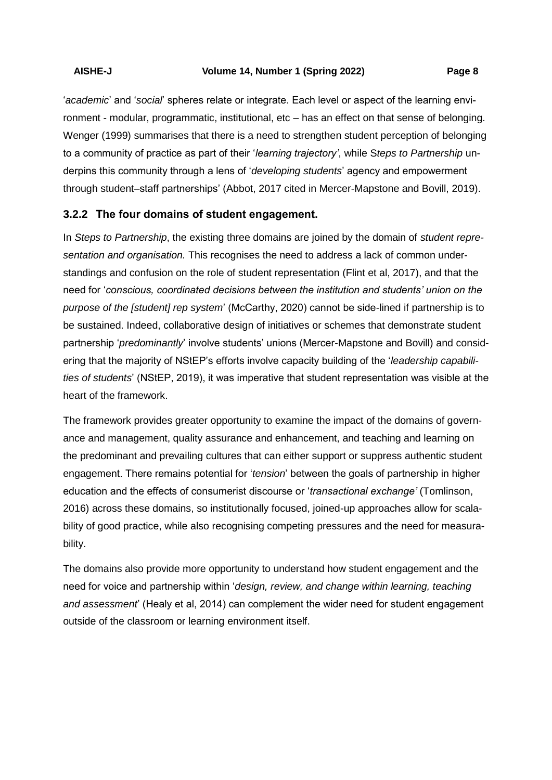'*academic*' and '*social*' spheres relate or integrate. Each level or aspect of the learning environment - modular, programmatic, institutional, etc – has an effect on that sense of belonging. Wenger (1999) summarises that there is a need to strengthen student perception of belonging to a community of practice as part of their '*learning trajectory'*, while S*teps to Partnership* underpins this community through a lens of '*developing students*' agency and empowerment through student–staff partnerships' (Abbot, 2017 cited in Mercer-Mapstone and Bovill, 2019).

## **3.2.2 The four domains of student engagement.**

In *Steps to Partnership*, the existing three domains are joined by the domain of *student representation and organisation.* This recognises the need to address a lack of common understandings and confusion on the role of student representation (Flint et al, 2017), and that the need for '*conscious, coordinated decisions between the institution and students' union on the purpose of the [student] rep system*' (McCarthy, 2020) cannot be side-lined if partnership is to be sustained. Indeed, collaborative design of initiatives or schemes that demonstrate student partnership '*predominantly*' involve students' unions (Mercer-Mapstone and Bovill) and considering that the majority of NStEP's efforts involve capacity building of the '*leadership capabilities of students*' (NStEP, 2019), it was imperative that student representation was visible at the heart of the framework.

The framework provides greater opportunity to examine the impact of the domains of governance and management, quality assurance and enhancement, and teaching and learning on the predominant and prevailing cultures that can either support or suppress authentic student engagement. There remains potential for '*tension*' between the goals of partnership in higher education and the effects of consumerist discourse or '*transactional exchange'* (Tomlinson, 2016) across these domains, so institutionally focused, joined-up approaches allow for scalability of good practice, while also recognising competing pressures and the need for measurability.

The domains also provide more opportunity to understand how student engagement and the need for voice and partnership within '*design, review, and change within learning, teaching and assessment*' (Healy et al, 2014) can complement the wider need for student engagement outside of the classroom or learning environment itself.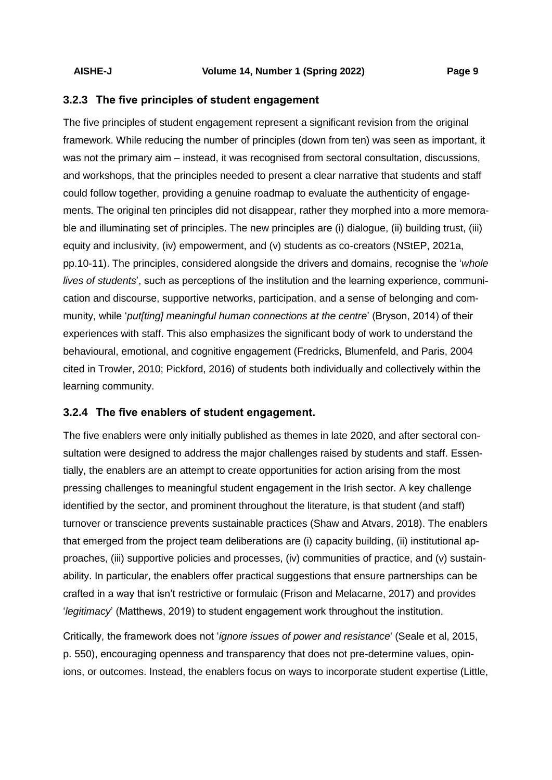### **3.2.3 The five principles of student engagement**

The five principles of student engagement represent a significant revision from the original framework. While reducing the number of principles (down from ten) was seen as important, it was not the primary aim – instead, it was recognised from sectoral consultation, discussions, and workshops, that the principles needed to present a clear narrative that students and staff could follow together, providing a genuine roadmap to evaluate the authenticity of engagements. The original ten principles did not disappear, rather they morphed into a more memorable and illuminating set of principles. The new principles are (i) dialogue, (ii) building trust, (iii) equity and inclusivity, (iv) empowerment, and (v) students as co-creators (NStEP, 2021a, pp.10-11). The principles, considered alongside the drivers and domains, recognise the '*whole lives of students*', such as perceptions of the institution and the learning experience, communication and discourse, supportive networks, participation, and a sense of belonging and community, while '*put[ting] meaningful human connections at the centre*' (Bryson, 2014) of their experiences with staff. This also emphasizes the significant body of work to understand the behavioural, emotional, and cognitive engagement (Fredricks, Blumenfeld, and Paris, 2004 cited in Trowler, 2010; Pickford, 2016) of students both individually and collectively within the learning community.

### **3.2.4 The five enablers of student engagement.**

The five enablers were only initially published as themes in late 2020, and after sectoral consultation were designed to address the major challenges raised by students and staff. Essentially, the enablers are an attempt to create opportunities for action arising from the most pressing challenges to meaningful student engagement in the Irish sector. A key challenge identified by the sector, and prominent throughout the literature, is that student (and staff) turnover or transcience prevents sustainable practices (Shaw and Atvars, 2018). The enablers that emerged from the project team deliberations are (i) capacity building, (ii) institutional approaches, (iii) supportive policies and processes, (iv) communities of practice, and (v) sustainability. In particular, the enablers offer practical suggestions that ensure partnerships can be crafted in a way that isn't restrictive or formulaic (Frison and Melacarne, 2017) and provides '*legitimacy*' (Matthews, 2019) to student engagement work throughout the institution.

Critically, the framework does not '*ignore issues of power and resistance*' (Seale et al, 2015, p. 550), encouraging openness and transparency that does not pre-determine values, opinions, or outcomes. Instead, the enablers focus on ways to incorporate student expertise (Little,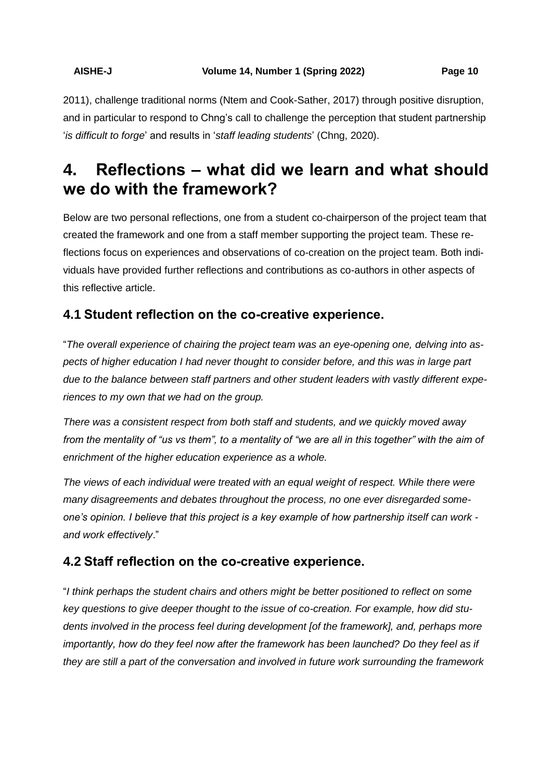2011), challenge traditional norms (Ntem and Cook-Sather, 2017) through positive disruption, and in particular to respond to Chng's call to challenge the perception that student partnership '*is difficult to forge*' and results in '*staff leading students*' (Chng, 2020).

# **4. Reflections – what did we learn and what should we do with the framework?**

Below are two personal reflections, one from a student co-chairperson of the project team that created the framework and one from a staff member supporting the project team. These reflections focus on experiences and observations of co-creation on the project team. Both individuals have provided further reflections and contributions as co-authors in other aspects of this reflective article.

## **4.1 Student reflection on the co-creative experience.**

"*The overall experience of chairing the project team was an eye-opening one, delving into aspects of higher education I had never thought to consider before, and this was in large part due to the balance between staff partners and other student leaders with vastly different experiences to my own that we had on the group.*

*There was a consistent respect from both staff and students, and we quickly moved away from the mentality of "us vs them", to a mentality of "we are all in this together" with the aim of enrichment of the higher education experience as a whole.*

*The views of each individual were treated with an equal weight of respect. While there were many disagreements and debates throughout the process, no one ever disregarded someone's opinion. I believe that this project is a key example of how partnership itself can work and work effectively*."

## **4.2 Staff reflection on the co-creative experience.**

"*I think perhaps the student chairs and others might be better positioned to reflect on some key questions to give deeper thought to the issue of co-creation. For example, how did students involved in the process feel during development [of the framework], and, perhaps more importantly, how do they feel now after the framework has been launched? Do they feel as if they are still a part of the conversation and involved in future work surrounding the framework*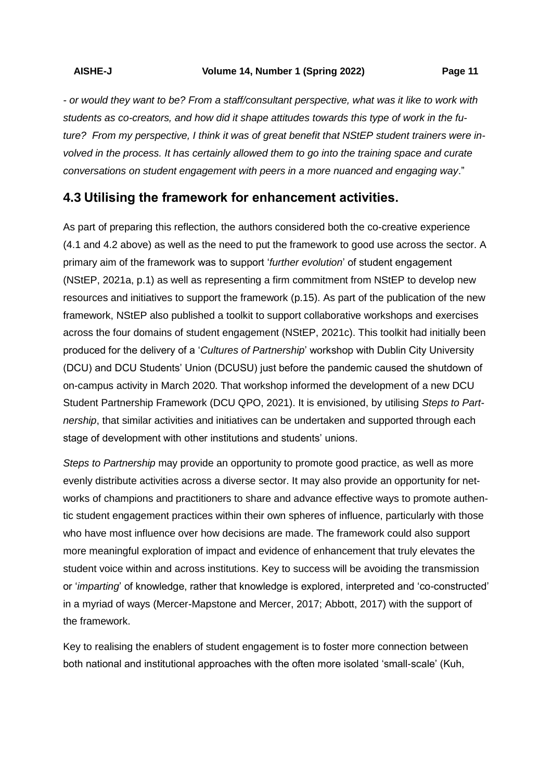*- or would they want to be? From a staff/consultant perspective, what was it like to work with students as co-creators, and how did it shape attitudes towards this type of work in the future? From my perspective, I think it was of great benefit that NStEP student trainers were involved in the process. It has certainly allowed them to go into the training space and curate conversations on student engagement with peers in a more nuanced and engaging way*."

## **4.3 Utilising the framework for enhancement activities.**

As part of preparing this reflection, the authors considered both the co-creative experience (4.1 and 4.2 above) as well as the need to put the framework to good use across the sector. A primary aim of the framework was to support '*further evolution*' of student engagement (NStEP, 2021a, p.1) as well as representing a firm commitment from NStEP to develop new resources and initiatives to support the framework (p.15). As part of the publication of the new framework, NStEP also published a toolkit to support collaborative workshops and exercises across the four domains of student engagement (NStEP, 2021c). This toolkit had initially been produced for the delivery of a '*Cultures of Partnership*' workshop with Dublin City University (DCU) and DCU Students' Union (DCUSU) just before the pandemic caused the shutdown of on-campus activity in March 2020. That workshop informed the development of a new DCU Student Partnership Framework (DCU QPO, 2021). It is envisioned, by utilising *Steps to Partnership*, that similar activities and initiatives can be undertaken and supported through each stage of development with other institutions and students' unions.

*Steps to Partnership* may provide an opportunity to promote good practice, as well as more evenly distribute activities across a diverse sector. It may also provide an opportunity for networks of champions and practitioners to share and advance effective ways to promote authentic student engagement practices within their own spheres of influence, particularly with those who have most influence over how decisions are made. The framework could also support more meaningful exploration of impact and evidence of enhancement that truly elevates the student voice within and across institutions. Key to success will be avoiding the transmission or '*imparting*' of knowledge, rather that knowledge is explored, interpreted and 'co-constructed' in a myriad of ways (Mercer-Mapstone and Mercer, 2017; Abbott, 2017) with the support of the framework.

Key to realising the enablers of student engagement is to foster more connection between both national and institutional approaches with the often more isolated 'small-scale' (Kuh,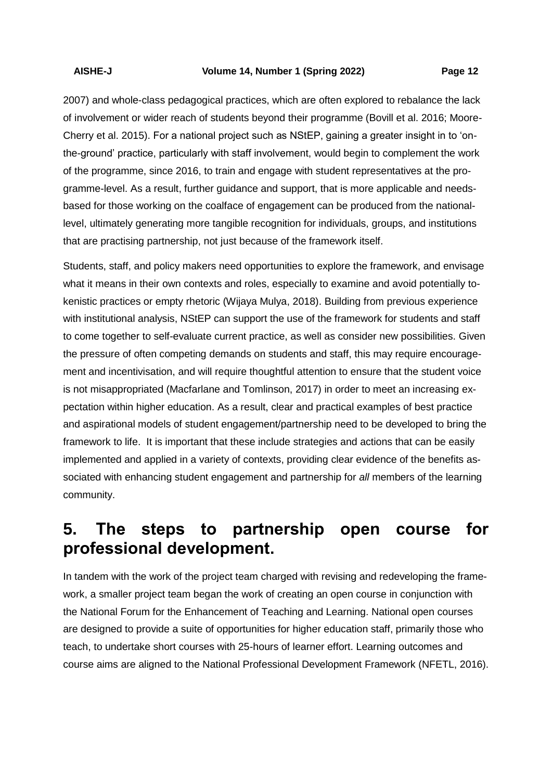2007) and whole-class pedagogical practices, which are often explored to rebalance the lack of involvement or wider reach of students beyond their programme (Bovill et al. 2016; Moore-Cherry et al. 2015). For a national project such as NStEP, gaining a greater insight in to 'onthe-ground' practice, particularly with staff involvement, would begin to complement the work of the programme, since 2016, to train and engage with student representatives at the programme-level. As a result, further guidance and support, that is more applicable and needsbased for those working on the coalface of engagement can be produced from the nationallevel, ultimately generating more tangible recognition for individuals, groups, and institutions that are practising partnership, not just because of the framework itself.

Students, staff, and policy makers need opportunities to explore the framework, and envisage what it means in their own contexts and roles, especially to examine and avoid potentially tokenistic practices or empty rhetoric (Wijaya Mulya, 2018). Building from previous experience with institutional analysis, NStEP can support the use of the framework for students and staff to come together to self-evaluate current practice, as well as consider new possibilities. Given the pressure of often competing demands on students and staff, this may require encouragement and incentivisation, and will require thoughtful attention to ensure that the student voice is not misappropriated (Macfarlane and Tomlinson, 2017) in order to meet an increasing expectation within higher education. As a result, clear and practical examples of best practice and aspirational models of student engagement/partnership need to be developed to bring the framework to life. It is important that these include strategies and actions that can be easily implemented and applied in a variety of contexts, providing clear evidence of the benefits associated with enhancing student engagement and partnership for *all* members of the learning community.

# **5. The steps to partnership open course for professional development.**

In tandem with the work of the project team charged with revising and redeveloping the framework, a smaller project team began the work of creating an open course in conjunction with the National Forum for the Enhancement of Teaching and Learning. National open courses are designed to provide a suite of opportunities for higher education staff, primarily those who teach, to undertake short courses with 25-hours of learner effort. Learning outcomes and course aims are aligned to the National Professional Development Framework (NFETL, 2016).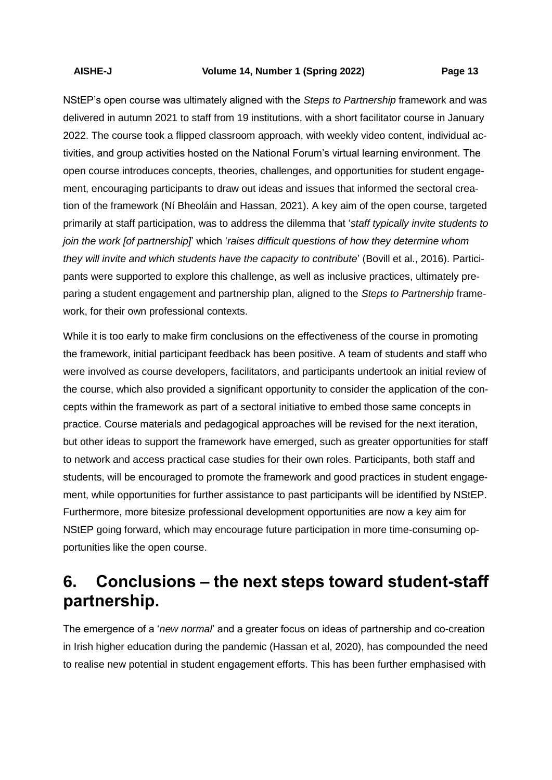NStEP's open course was ultimately aligned with the *Steps to Partnership* framework and was delivered in autumn 2021 to staff from 19 institutions, with a short facilitator course in January 2022. The course took a flipped classroom approach, with weekly video content, individual activities, and group activities hosted on the National Forum's virtual learning environment. The open course introduces concepts, theories, challenges, and opportunities for student engagement, encouraging participants to draw out ideas and issues that informed the sectoral creation of the framework (Ní Bheoláin and Hassan, 2021). A key aim of the open course, targeted primarily at staff participation, was to address the dilemma that '*staff typically invite students to join the work [of partnership]*' which '*raises difficult questions of how they determine whom they will invite and which students have the capacity to contribute*' (Bovill et al., 2016). Participants were supported to explore this challenge, as well as inclusive practices, ultimately preparing a student engagement and partnership plan, aligned to the *Steps to Partnership* framework, for their own professional contexts.

While it is too early to make firm conclusions on the effectiveness of the course in promoting the framework, initial participant feedback has been positive. A team of students and staff who were involved as course developers, facilitators, and participants undertook an initial review of the course, which also provided a significant opportunity to consider the application of the concepts within the framework as part of a sectoral initiative to embed those same concepts in practice. Course materials and pedagogical approaches will be revised for the next iteration, but other ideas to support the framework have emerged, such as greater opportunities for staff to network and access practical case studies for their own roles. Participants, both staff and students, will be encouraged to promote the framework and good practices in student engagement, while opportunities for further assistance to past participants will be identified by NStEP. Furthermore, more bitesize professional development opportunities are now a key aim for NStEP going forward, which may encourage future participation in more time-consuming opportunities like the open course.

# **6. Conclusions – the next steps toward student-staff partnership.**

The emergence of a '*new normal*' and a greater focus on ideas of partnership and co-creation in Irish higher education during the pandemic (Hassan et al, 2020), has compounded the need to realise new potential in student engagement efforts. This has been further emphasised with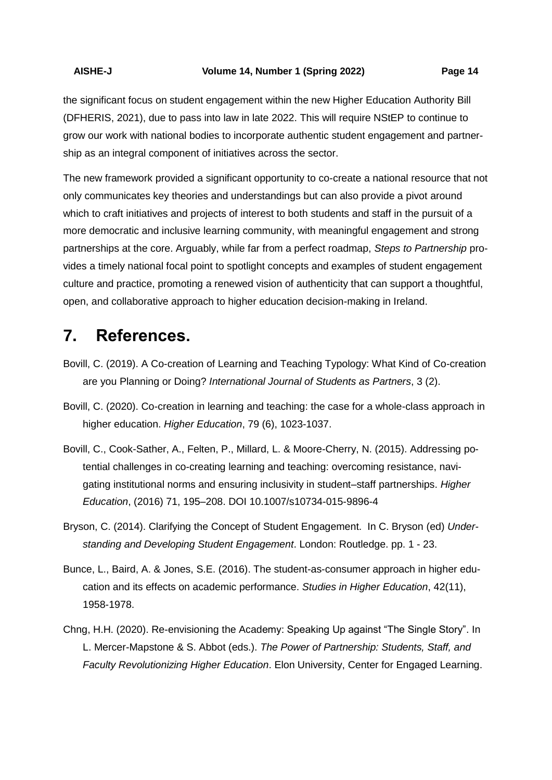the significant focus on student engagement within the new Higher Education Authority Bill (DFHERIS, 2021), due to pass into law in late 2022. This will require NStEP to continue to grow our work with national bodies to incorporate authentic student engagement and partnership as an integral component of initiatives across the sector.

The new framework provided a significant opportunity to co-create a national resource that not only communicates key theories and understandings but can also provide a pivot around which to craft initiatives and projects of interest to both students and staff in the pursuit of a more democratic and inclusive learning community, with meaningful engagement and strong partnerships at the core. Arguably, while far from a perfect roadmap, *Steps to Partnership* provides a timely national focal point to spotlight concepts and examples of student engagement culture and practice, promoting a renewed vision of authenticity that can support a thoughtful, open, and collaborative approach to higher education decision-making in Ireland.

# **7. References.**

- Bovill, C. (2019). A Co-creation of Learning and Teaching Typology: What Kind of Co-creation are you Planning or Doing? *International Journal of Students as Partners*, 3 (2).
- Bovill, C. (2020). Co-creation in learning and teaching: the case for a whole-class approach in higher education. *Higher Education*, 79 (6), 1023-1037.
- Bovill, C., Cook-Sather, A., Felten, P., Millard, L. & Moore-Cherry, N. (2015). Addressing potential challenges in co-creating learning and teaching: overcoming resistance, navigating institutional norms and ensuring inclusivity in student–staff partnerships. *Higher Education*, (2016) 71, 195–208. DOI 10.1007/s10734-015-9896-4
- Bryson, C. (2014). Clarifying the Concept of Student Engagement. In C. Bryson (ed) *Understanding and Developing Student Engagement*. London: Routledge. pp. 1 - 23.
- Bunce, L., Baird, A. & Jones, S.E. (2016). The student-as-consumer approach in higher education and its effects on academic performance. *Studies in Higher Education*, 42(11), 1958-1978.
- Chng, H.H. (2020). Re-envisioning the Academy: Speaking Up against "The Single Story". In L. Mercer-Mapstone & S. Abbot (eds.). *The Power of Partnership: Students, Staff, and Faculty Revolutionizing Higher Education*. Elon University, Center for Engaged Learning.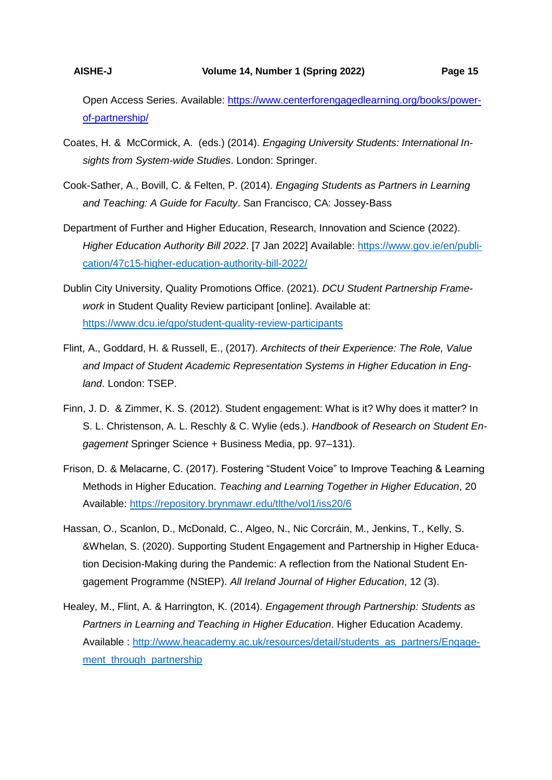Open Access Series. Available: [https://www.centerforengagedlearning.org/books/power](https://www.centerforengagedlearning.org/books/power-of-partnership/)[of-partnership/](https://www.centerforengagedlearning.org/books/power-of-partnership/)

- Coates, H. & McCormick, A. (eds.) (2014). *Engaging University Students: International Insights from System-wide Studies*. London: Springer.
- Cook-Sather, A., Bovill, C. & Felten, P. (2014). *Engaging Students as Partners in Learning and Teaching: A Guide for Faculty*. San Francisco, CA: Jossey-Bass
- Department of Further and Higher Education, Research, Innovation and Science (2022). *Higher Education Authority Bill 2022*. [7 Jan 2022] Available: [https://www.gov.ie/en/publi](https://www.gov.ie/en/publication/47c15-higher-education-authority-bill-2022/)[cation/47c15-higher-education-authority-bill-2022/](https://www.gov.ie/en/publication/47c15-higher-education-authority-bill-2022/)
- Dublin City University, Quality Promotions Office. (2021). *DCU Student Partnership Framework* in Student Quality Review participant [online]. Available at: <https://www.dcu.ie/qpo/student-quality-review-participants>
- Flint, A., Goddard, H. & Russell, E., (2017). *Architects of their Experience: The Role, Value and Impact of Student Academic Representation Systems in Higher Education in England*. London: TSEP.
- Finn, J. D. & Zimmer, K. S. (2012). Student engagement: What is it? Why does it matter? In S. L. Christenson, A. L. Reschly & C. Wylie (eds.). *Handbook of Research on Student Engagement* Springer Science + Business Media, pp. 97–131).
- Frison, D. & Melacarne, C. (2017). Fostering "Student Voice" to Improve Teaching & Learning Methods in Higher Education. *Teaching and Learning Together in Higher Education*, 20 Available:<https://repository.brynmawr.edu/tlthe/vol1/iss20/6>
- Hassan, O., Scanlon, D., McDonald, C., Algeo, N., Nic Corcráin, M., Jenkins, T., Kelly, S. &Whelan, S. (2020). Supporting Student Engagement and Partnership in Higher Education Decision-Making during the Pandemic: A reflection from the National Student Engagement Programme (NStEP). *All Ireland Journal of Higher Education*, 12 (3).
- Healey, M., Flint, A. & Harrington, K. (2014). *Engagement through Partnership: Students as Partners in Learning and Teaching in Higher Education*. Higher Education Academy. Available : [http://www.heacademy.ac.uk/resources/detail/students\\_as\\_partners/Engage](http://www.heacademy.ac.uk/resources/detail/students_as_partners/Engagement_through_partnership)ment through partnership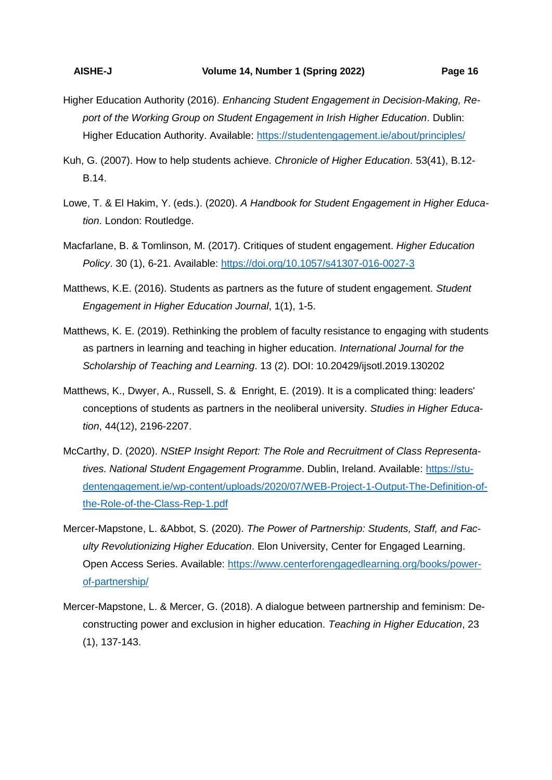- Higher Education Authority (2016). *Enhancing Student Engagement in Decision-Making, Report of the Working Group on Student Engagement in Irish Higher Education*. Dublin: Higher Education Authority. Available:<https://studentengagement.ie/about/principles/>
- Kuh, G. (2007). How to help students achieve. *Chronicle of Higher Education*. 53(41), B.12- B.14.
- Lowe, T. & El Hakim, Y. (eds.). (2020). *A Handbook for Student Engagement in Higher Education*. London: Routledge.
- Macfarlane, B. & Tomlinson, M. (2017). Critiques of student engagement. *Higher Education Policy*. 30 (1), 6-21. Available:<https://doi.org/10.1057/s41307-016-0027-3>
- Matthews, K.E. (2016). Students as partners as the future of student engagement. *Student Engagement in Higher Education Journal*, 1(1), 1-5.
- Matthews, K. E. (2019). Rethinking the problem of faculty resistance to engaging with students as partners in learning and teaching in higher education. *International Journal for the Scholarship of Teaching and Learning*. 13 (2). DOI: 10.20429/ijsotl.2019.130202
- Matthews, K., Dwyer, A., Russell, S. & Enright, E. (2019). It is a complicated thing: leaders' conceptions of students as partners in the neoliberal university. *Studies in Higher Education*, 44(12), 2196-2207.
- McCarthy, D. (2020). *NStEP Insight Report: The Role and Recruitment of Class Representatives. National Student Engagement Programme*. Dublin, Ireland. Available: [https://stu](https://studentengagement.ie/wp-content/uploads/2020/07/WEB-Project-1-Output-The-Definition-of-the-Role-of-the-Class-Rep-1.pdf)[dentengagement.ie/wp-content/uploads/2020/07/WEB-Project-1-Output-The-Definition-of](https://studentengagement.ie/wp-content/uploads/2020/07/WEB-Project-1-Output-The-Definition-of-the-Role-of-the-Class-Rep-1.pdf)[the-Role-of-the-Class-Rep-1.pdf](https://studentengagement.ie/wp-content/uploads/2020/07/WEB-Project-1-Output-The-Definition-of-the-Role-of-the-Class-Rep-1.pdf)
- Mercer-Mapstone, L. &Abbot, S. (2020). *The Power of Partnership: Students, Staff, and Faculty Revolutionizing Higher Education*. Elon University, Center for Engaged Learning. Open Access Series. Available: [https://www.centerforengagedlearning.org/books/power](https://www.centerforengagedlearning.org/books/power-of-partnership/)[of-partnership/](https://www.centerforengagedlearning.org/books/power-of-partnership/)
- Mercer-Mapstone, L. & Mercer, G. (2018). A dialogue between partnership and feminism: Deconstructing power and exclusion in higher education. *Teaching in Higher Education*, 23 (1), 137-143.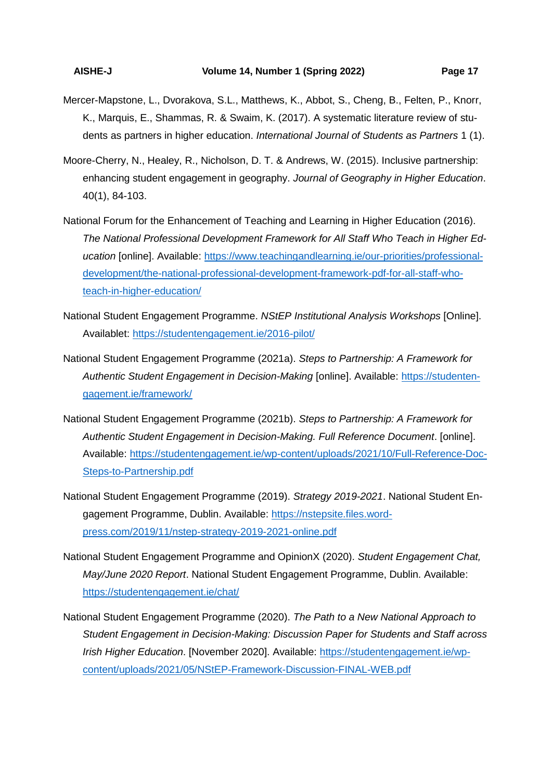- Mercer-Mapstone, L., Dvorakova, S.L., Matthews, K., Abbot, S., Cheng, B., Felten, P., Knorr, K., Marquis, E., Shammas, R. & Swaim, K. (2017). A systematic literature review of students as partners in higher education. *International Journal of Students as Partners* 1 (1).
- Moore-Cherry, N., Healey, R., Nicholson, D. T. & Andrews, W. (2015). Inclusive partnership: enhancing student engagement in geography. *Journal of Geography in Higher Education*. 40(1), 84-103.
- National Forum for the Enhancement of Teaching and Learning in Higher Education (2016). *The National Professional Development Framework for All Staff Who Teach in Higher Education* [online]. Available: [https://www.teachingandlearning.ie/our-priorities/professional](https://www.teachingandlearning.ie/our-priorities/professional-development/the-national-professional-development-framework-pdf-for-all-staff-who-teach-in-higher-education/)[development/the-national-professional-development-framework-pdf-for-all-staff-who](https://www.teachingandlearning.ie/our-priorities/professional-development/the-national-professional-development-framework-pdf-for-all-staff-who-teach-in-higher-education/)[teach-in-higher-education/](https://www.teachingandlearning.ie/our-priorities/professional-development/the-national-professional-development-framework-pdf-for-all-staff-who-teach-in-higher-education/)
- National Student Engagement Programme. *NStEP Institutional Analysis Workshops* [Online]. Availablet:<https://studentengagement.ie/2016-pilot/>
- National Student Engagement Programme (2021a). *Steps to Partnership: A Framework for*  Authentic Student Engagement in Decision-Making [online]. Available: [https://studenten](https://studentengagement.ie/framework/)[gagement.ie/framework/](https://studentengagement.ie/framework/)
- National Student Engagement Programme (2021b). *Steps to Partnership: A Framework for Authentic Student Engagement in Decision-Making. Full Reference Document*. [online]. Available: [https://studentengagement.ie/wp-content/uploads/2021/10/Full-Reference-Doc-](https://studentengagement.ie/wp-content/uploads/2021/10/Full-Reference-Doc-Steps-to-Partnership.pdf)[Steps-to-Partnership.pdf](https://studentengagement.ie/wp-content/uploads/2021/10/Full-Reference-Doc-Steps-to-Partnership.pdf)
- National Student Engagement Programme (2019). *Strategy 2019-2021*. National Student Engagement Programme, Dublin. Available: [https://nstepsite.files.word](https://nstepsite.files.wordpress.com/2019/11/nstep-strategy-2019-2021-online.pdf)[press.com/2019/11/nstep-strategy-2019-2021-online.pdf](https://nstepsite.files.wordpress.com/2019/11/nstep-strategy-2019-2021-online.pdf)
- National Student Engagement Programme and OpinionX (2020). *Student Engagement Chat, May/June 2020 Report*. National Student Engagement Programme, Dublin. Available: <https://studentengagement.ie/chat/>
- National Student Engagement Programme (2020). *The Path to a New National Approach to Student Engagement in Decision-Making: Discussion Paper for Students and Staff across Irish Higher Education*. [November 2020]. Available: [https://studentengagement.ie/wp](https://studentengagement.ie/wp-content/uploads/2021/05/NStEP-Framework-Discussion-FINAL-WEB.pdf)[content/uploads/2021/05/NStEP-Framework-Discussion-FINAL-WEB.pdf](https://studentengagement.ie/wp-content/uploads/2021/05/NStEP-Framework-Discussion-FINAL-WEB.pdf)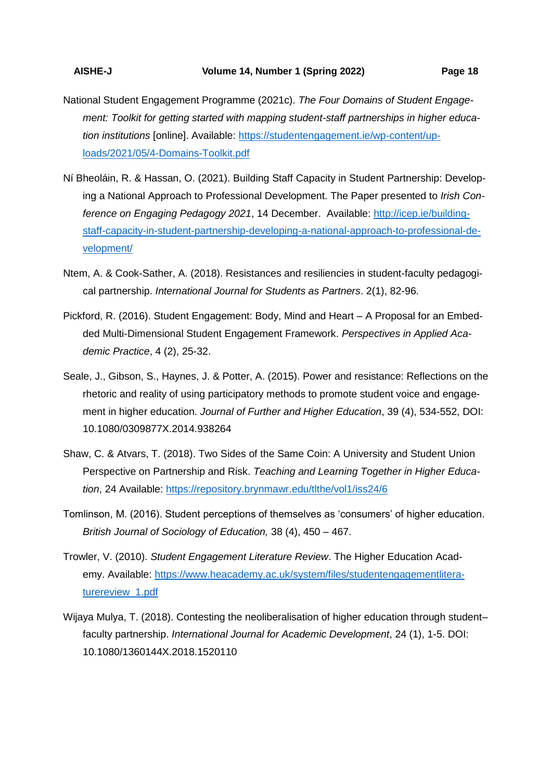- National Student Engagement Programme (2021c). *The Four Domains of Student Engagement: Toolkit for getting started with mapping student-staff partnerships in higher education institutions* [online]. Available: [https://studentengagement.ie/wp-content/up](https://studentengagement.ie/wp-content/uploads/2021/05/4-Domains-Toolkit.pdf)[loads/2021/05/4-Domains-Toolkit.pdf](https://studentengagement.ie/wp-content/uploads/2021/05/4-Domains-Toolkit.pdf)
- Ní Bheoláin, R. & Hassan, O. (2021). Building Staff Capacity in Student Partnership: Developing a National Approach to Professional Development. The Paper presented to *Irish Conference on Engaging Pedagogy 2021*, 14 December. Available: [http://icep.ie/building](http://icep.ie/building-staff-capacity-in-student-partnership-developing-a-national-approach-to-professional-development/)[staff-capacity-in-student-partnership-developing-a-national-approach-to-professional-de](http://icep.ie/building-staff-capacity-in-student-partnership-developing-a-national-approach-to-professional-development/)[velopment/](http://icep.ie/building-staff-capacity-in-student-partnership-developing-a-national-approach-to-professional-development/)
- Ntem, A. & Cook-Sather, A. (2018). Resistances and resiliencies in student-faculty pedagogical partnership. *International Journal for Students as Partners*. 2(1), 82-96.
- Pickford, R. (2016). Student Engagement: Body, Mind and Heart A Proposal for an Embedded Multi-Dimensional Student Engagement Framework. *Perspectives in Applied Academic Practice*, 4 (2), 25-32.
- Seale, J., Gibson, S., Haynes, J. & Potter, A. (2015). Power and resistance: Reflections on the rhetoric and reality of using participatory methods to promote student voice and engagement in higher education. *Journal of Further and Higher Education*, 39 (4), 534-552, DOI: 10.1080/0309877X.2014.938264
- Shaw, C. & Atvars, T. (2018). Two Sides of the Same Coin: A University and Student Union Perspective on Partnership and Risk. *Teaching and Learning Together in Higher Education*, 24 Available:<https://repository.brynmawr.edu/tlthe/vol1/iss24/6>
- Tomlinson, M. (2016). Student perceptions of themselves as 'consumers' of higher education. *British Journal of Sociology of Education,* 38 (4), 450 – 467.
- Trowler, V. (2010). *Student Engagement Literature Review*. The Higher Education Academy. Available: [https://www.heacademy.ac.uk/system/files/studentengagementlitera](https://www.heacademy.ac.uk/system/files/studentengagementliteraturereview_1.pdf)turereview 1.pdf
- Wijaya Mulya, T. (2018). Contesting the neoliberalisation of higher education through student– faculty partnership. *International Journal for Academic Development*, 24 (1), 1-5. DOI: 10.1080/1360144X.2018.1520110